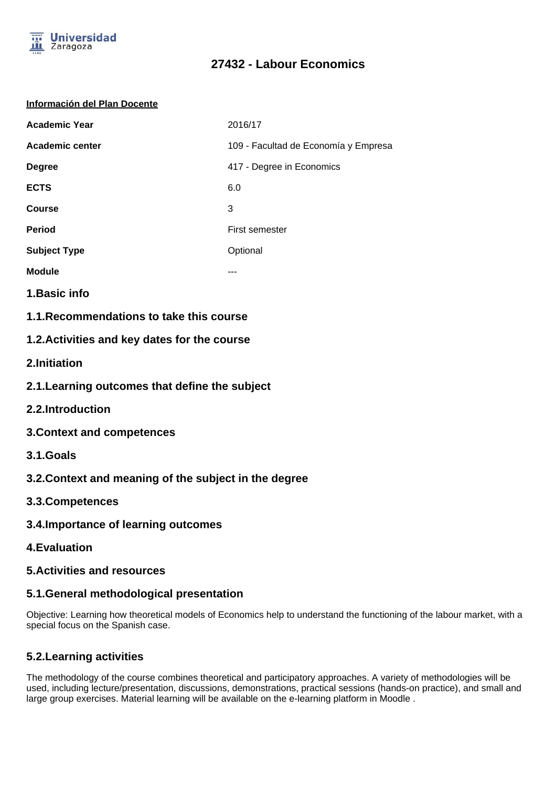

#### **Información del Plan Docente**

| <b>Academic Year</b> | 2016/17                              |
|----------------------|--------------------------------------|
| Academic center      | 109 - Facultad de Economía y Empresa |
| <b>Degree</b>        | 417 - Degree in Economics            |
| <b>ECTS</b>          | 6.0                                  |
| <b>Course</b>        | 3                                    |
| <b>Period</b>        | First semester                       |
| <b>Subject Type</b>  | Optional                             |
| <b>Module</b>        | ---                                  |

- **1.Basic info**
- **1.1.Recommendations to take this course**

## **1.2.Activities and key dates for the course**

- **2.Initiation**
- **2.1.Learning outcomes that define the subject**
- **2.2.Introduction**
- **3.Context and competences**
- **3.1.Goals**
- **3.2.Context and meaning of the subject in the degree**
- **3.3.Competences**
- **3.4.Importance of learning outcomes**
- **4.Evaluation**

## **5.Activities and resources**

## **5.1.General methodological presentation**

Objective: Learning how theoretical models of Economics help to understand the functioning of the labour market, with a special focus on the Spanish case.

## **5.2.Learning activities**

The methodology of the course combines theoretical and participatory approaches. A variety of methodologies will be used, including lecture/presentation, discussions, demonstrations, practical sessions (hands-on practice), and small and large group exercises. Material learning will be available on the e-learning platform in Moodle .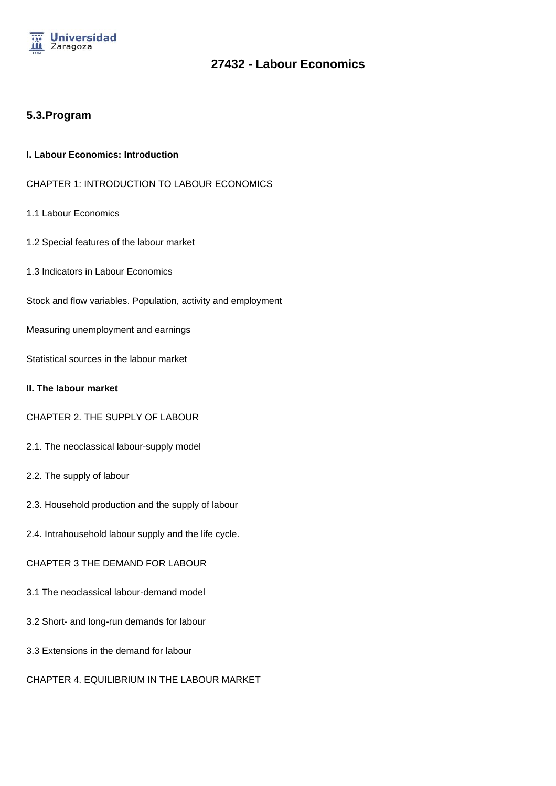

## **5.3.Program**

#### **I. Labour Economics: Introduction**

- CHAPTER 1: INTRODUCTION TO LABOUR ECONOMICS
- 1.1 Labour Economics
- 1.2 Special features of the labour market
- 1.3 Indicators in Labour Economics
- Stock and flow variables. Population, activity and employment
- Measuring unemployment and earnings

Statistical sources in the labour market

#### **II. The labour market**

- CHAPTER 2. THE SUPPLY OF LABOUR
- 2.1. The neoclassical labour-supply model
- 2.2. The supply of labour
- 2.3. Household production and the supply of labour
- 2.4. Intrahousehold labour supply and the life cycle.
- CHAPTER 3 THE DEMAND FOR LABOUR
- 3.1 The neoclassical labour-demand model
- 3.2 Short- and long-run demands for labour
- 3.3 Extensions in the demand for labour
- CHAPTER 4. EQUILIBRIUM IN THE LABOUR MARKET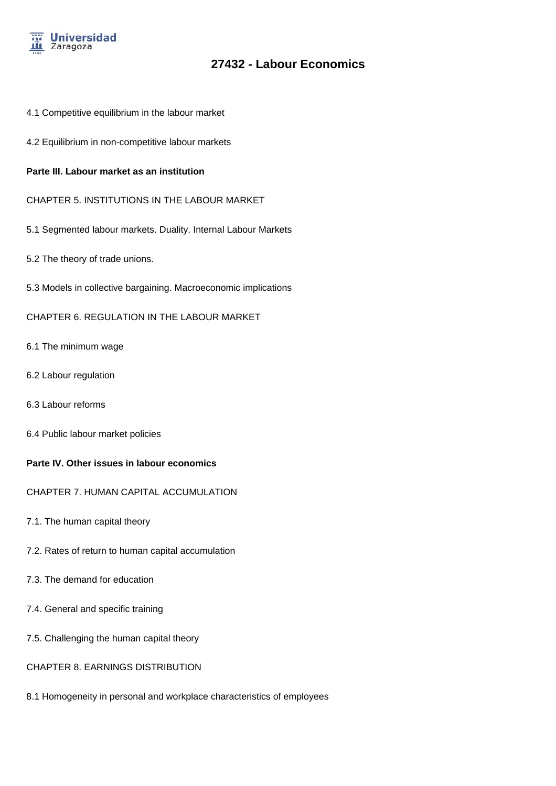

- 4.1 Competitive equilibrium in the labour market
- 4.2 Equilibrium in non-competitive labour markets

#### **Parte III. Labour market as an institution**

- CHAPTER 5. INSTITUTIONS IN THE LABOUR MARKET
- 5.1 Segmented labour markets. Duality. Internal Labour Markets
- 5.2 The theory of trade unions.
- 5.3 Models in collective bargaining. Macroeconomic implications

#### CHAPTER 6. REGULATION IN THE LABOUR MARKET

- 6.1 The minimum wage
- 6.2 Labour regulation
- 6.3 Labour reforms
- 6.4 Public labour market policies

#### **Parte IV. Other issues in labour economics**

- CHAPTER 7. HUMAN CAPITAL ACCUMULATION
- 7.1. The human capital theory
- 7.2. Rates of return to human capital accumulation
- 7.3. The demand for education
- 7.4. General and specific training
- 7.5. Challenging the human capital theory

#### CHAPTER 8. EARNINGS DISTRIBUTION

8.1 Homogeneity in personal and workplace characteristics of employees